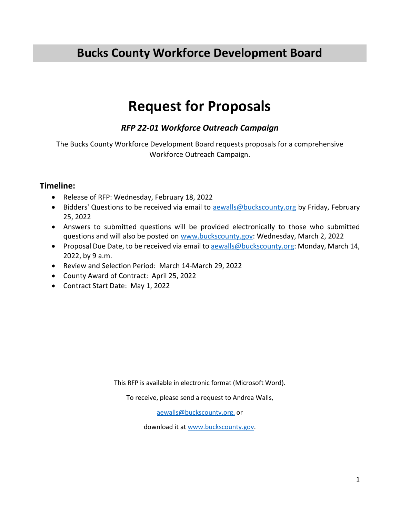## **Bucks County Workforce Development Board**

# **Request for Proposals**

## *RFP 22-01 Workforce Outreach Campaign*

The Bucks County Workforce Development Board requests proposals for a comprehensive Workforce Outreach Campaign.

## **Timeline:**

- Release of RFP: Wednesday, February 18, 2022
- Bidders' Questions to be received via email to [aewalls@buckscounty.org](mailto:aewalls@buckscounty.org) by Friday, February 25, 2022
- Answers to submitted questions will be provided electronically to those who submitted questions and will also be posted on [www.buckscounty.gov:](http://www.buckscounty.gov/) Wednesday, March 2, 2022
- Proposal Due Date, to be received via email to [aewalls@buckscounty.org:](mailto:aewalls@buckscounty.org) Monday, March 14, 2022, by 9 a.m.
- Review and Selection Period: March 14-March 29, 2022
- County Award of Contract: April 25, 2022
- Contract Start Date: May 1, 2022

This RFP is available in electronic format (Microsoft Word).

To receive, please send a request to Andrea Walls,

[aewalls@buckscounty.org,](mailto:aewalls@buckscounty.org) or

download it at [www.buckscounty.gov.](http://www.buckscounty.gov/)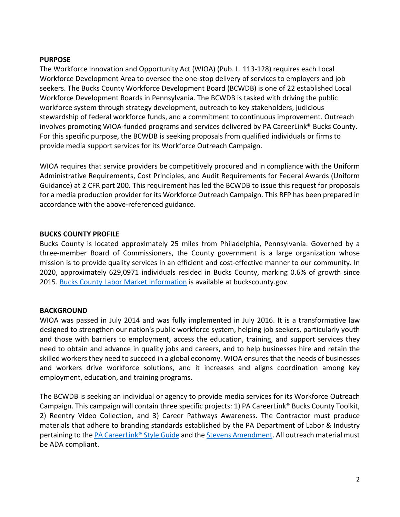#### **PURPOSE**

The Workforce Innovation and Opportunity Act (WIOA) (Pub. L. 113-128) requires each Local Workforce Development Area to oversee the one-stop delivery of services to employers and job seekers. The Bucks County Workforce Development Board (BCWDB) is one of 22 established Local Workforce Development Boards in Pennsylvania. The BCWDB is tasked with driving the public workforce system through strategy development, outreach to key stakeholders, judicious stewardship of federal workforce funds, and a commitment to continuous improvement. Outreach involves promoting WIOA-funded programs and services delivered by PA CareerLink® Bucks County. For this specific purpose, the BCWDB is seeking proposals from qualified individuals or firms to provide media support services for its Workforce Outreach Campaign.

WIOA requires that service providers be competitively procured and in compliance with the Uniform Administrative Requirements, Cost Principles, and Audit Requirements for Federal Awards (Uniform Guidance) at 2 CFR part 200. This requirement has led the BCWDB to issue this request for proposals for a media production provider for its Workforce Outreach Campaign. This RFP has been prepared in accordance with the above-referenced guidance.

## **BUCKS COUNTY PROFILE**

Bucks County is located approximately 25 miles from Philadelphia, Pennsylvania. Governed by a three-member Board of Commissioners, the County government is a large organization whose mission is to provide quality services in an efficient and cost-effective manner to our community. In 2020, approximately 629,0971 individuals resided in Bucks County, marking 0.6% of growth since 2015. [Bucks County Labor Market Information](https://buckscounty.gov/547/Data-Center) is available at buckscounty.gov.

## **BACKGROUND**

WIOA was passed in July 2014 and was fully implemented in July 2016. It is a transformative law designed to strengthen our nation's public workforce system, helping job seekers, particularly youth and those with barriers to employment, access the education, training, and support services they need to obtain and advance in quality jobs and careers, and to help businesses hire and retain the skilled workers they need to succeed in a global economy. WIOA ensures that the needs of businesses and workers drive workforce solutions, and it increases and aligns coordination among key employment, education, and training programs.

The BCWDB is seeking an individual or agency to provide media services for its Workforce Outreach Campaign. This campaign will contain three specific projects: 1) PA CareerLink® Bucks County Toolkit, 2) Reentry Video Collection, and 3) Career Pathways Awareness. The Contractor must produce materials that adhere to branding standards established by the PA Department of Labor & Industry pertaining to th[e PA CareerLink® Style Guide](https://www.dli.pa.gov/Businesses/Workforce-Development/Documents/WSP-121-06-Attachment-A-Style-Guide.pdf) and the [Stevens Amendment.](https://www.hhs.gov/guidance/document/stevens-amendment) All outreach material must be ADA compliant.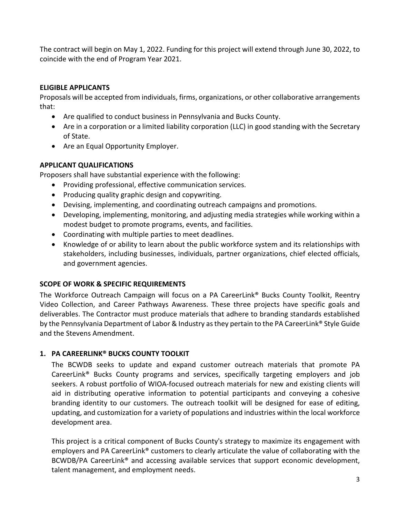The contract will begin on May 1, 2022. Funding for this project will extend through June 30, 2022, to coincide with the end of Program Year 2021.

## **ELIGIBLE APPLICANTS**

Proposals will be accepted from individuals, firms, organizations, or other collaborative arrangements that:

- Are qualified to conduct business in Pennsylvania and Bucks County.
- Are in a corporation or a limited liability corporation (LLC) in good standing with the Secretary of State.
- Are an Equal Opportunity Employer.

## **APPLICANT QUALIFICATIONS**

Proposers shall have substantial experience with the following:

- Providing professional, effective communication services.
- Producing quality graphic design and copywriting.
- Devising, implementing, and coordinating outreach campaigns and promotions.
- Developing, implementing, monitoring, and adjusting media strategies while working within a modest budget to promote programs, events, and facilities.
- Coordinating with multiple parties to meet deadlines.
- Knowledge of or ability to learn about the public workforce system and its relationships with stakeholders, including businesses, individuals, partner organizations, chief elected officials, and government agencies.

## **SCOPE OF WORK & SPECIFIC REQUIREMENTS**

The Workforce Outreach Campaign will focus on a PA CareerLink® Bucks County Toolkit, Reentry Video Collection, and Career Pathways Awareness. These three projects have specific goals and deliverables. The Contractor must produce materials that adhere to branding standards established by the Pennsylvania Department of Labor & Industry as they pertain to the PA CareerLink® Style Guide and the Stevens Amendment.

## **1. PA CAREERLINK® BUCKS COUNTY TOOLKIT**

The BCWDB seeks to update and expand customer outreach materials that promote PA CareerLink® Bucks County programs and services, specifically targeting employers and job seekers. A robust portfolio of WIOA-focused outreach materials for new and existing clients will aid in distributing operative information to potential participants and conveying a cohesive branding identity to our customers. The outreach toolkit will be designed for ease of editing, updating, and customization for a variety of populations and industries within the local workforce development area.

This project is a critical component of Bucks County's strategy to maximize its engagement with employers and PA CareerLink® customers to clearly articulate the value of collaborating with the BCWDB/PA CareerLink® and accessing available services that support economic development, talent management, and employment needs.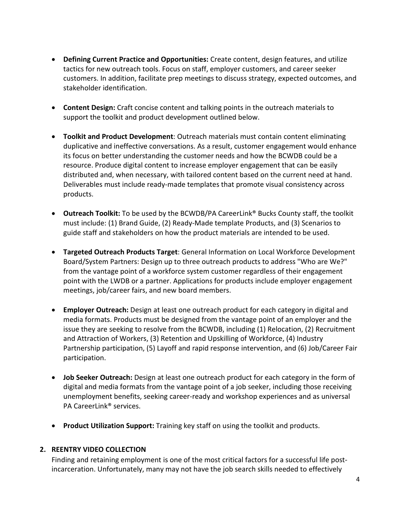- **Defining Current Practice and Opportunities:** Create content, design features, and utilize tactics for new outreach tools. Focus on staff, employer customers, and career seeker customers. In addition, facilitate prep meetings to discuss strategy, expected outcomes, and stakeholder identification.
- **Content Design:** Craft concise content and talking points in the outreach materials to support the toolkit and product development outlined below.
- **Toolkit and Product Development**: Outreach materials must contain content eliminating duplicative and ineffective conversations. As a result, customer engagement would enhance its focus on better understanding the customer needs and how the BCWDB could be a resource. Produce digital content to increase employer engagement that can be easily distributed and, when necessary, with tailored content based on the current need at hand. Deliverables must include ready-made templates that promote visual consistency across products.
- **Outreach Toolkit:** To be used by the BCWDB/PA CareerLink® Bucks County staff, the toolkit must include: (1) Brand Guide, (2) Ready-Made template Products, and (3) Scenarios to guide staff and stakeholders on how the product materials are intended to be used.
- **Targeted Outreach Products Target**: General Information on Local Workforce Development Board/System Partners: Design up to three outreach products to address "Who are We?" from the vantage point of a workforce system customer regardless of their engagement point with the LWDB or a partner. Applications for products include employer engagement meetings, job/career fairs, and new board members.
- **Employer Outreach:** Design at least one outreach product for each category in digital and media formats. Products must be designed from the vantage point of an employer and the issue they are seeking to resolve from the BCWDB, including (1) Relocation, (2) Recruitment and Attraction of Workers, (3) Retention and Upskilling of Workforce, (4) Industry Partnership participation, (5) Layoff and rapid response intervention, and (6) Job/Career Fair participation.
- **Job Seeker Outreach:** Design at least one outreach product for each category in the form of digital and media formats from the vantage point of a job seeker, including those receiving unemployment benefits, seeking career-ready and workshop experiences and as universal PA CareerLink® services.
- **Product Utilization Support:** Training key staff on using the toolkit and products.

#### **2. REENTRY VIDEO COLLECTION**

Finding and retaining employment is one of the most critical factors for a successful life postincarceration. Unfortunately, many may not have the job search skills needed to effectively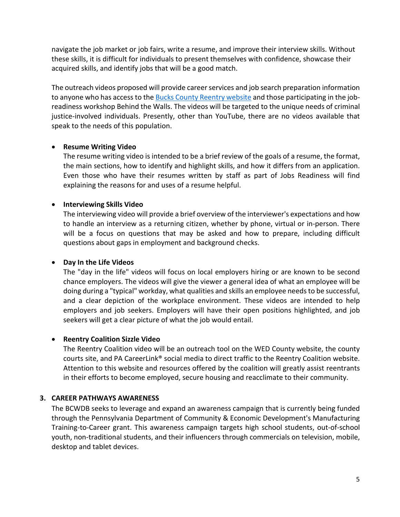navigate the job market or job fairs, write a resume, and improve their interview skills. Without these skills, it is difficult for individuals to present themselves with confidence, showcase their acquired skills, and identify jobs that will be a good match.

The outreach videos proposed will provide career services and job search preparation information to anyone who has access to the [Bucks County Reentry website](https://bucksreentry.com/) and those participating in the jobreadiness workshop Behind the Walls. The videos will be targeted to the unique needs of criminal justice-involved individuals. Presently, other than YouTube, there are no videos available that speak to the needs of this population.

#### • **Resume Writing Video**

The resume writing video is intended to be a brief review of the goals of a resume, the format, the main sections, how to identify and highlight skills, and how it differs from an application. Even those who have their resumes written by staff as part of Jobs Readiness will find explaining the reasons for and uses of a resume helpful.

#### • **Interviewing Skills Video**

The interviewing video will provide a brief overview of the interviewer's expectations and how to handle an interview as a returning citizen, whether by phone, virtual or in-person. There will be a focus on questions that may be asked and how to prepare, including difficult questions about gaps in employment and background checks.

## • **Day In the Life Videos**

The "day in the life" videos will focus on local employers hiring or are known to be second chance employers. The videos will give the viewer a general idea of what an employee will be doing during a "typical" workday, what qualities and skills an employee needs to be successful, and a clear depiction of the workplace environment. These videos are intended to help employers and job seekers. Employers will have their open positions highlighted, and job seekers will get a clear picture of what the job would entail.

## • **Reentry Coalition Sizzle Video**

The Reentry Coalition video will be an outreach tool on the WED County website, the county courts site, and PA CareerLink® social media to direct traffic to the Reentry Coalition website. Attention to this website and resources offered by the coalition will greatly assist reentrants in their efforts to become employed, secure housing and reacclimate to their community.

## **3. CAREER PATHWAYS AWARENESS**

The BCWDB seeks to leverage and expand an awareness campaign that is currently being funded through the Pennsylvania Department of Community & Economic Development's Manufacturing Training-to-Career grant. This awareness campaign targets high school students, out-of-school youth, non-traditional students, and their influencers through commercials on television, mobile, desktop and tablet devices.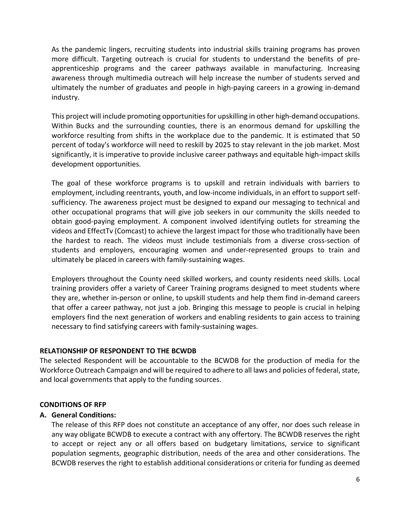As the pandemic lingers, recruiting students into industrial skills training programs has proven more difficult. Targeting outreach is crucial for students to understand the benefits of preapprenticeship programs and the career pathways available in manufacturing. Increasing awareness through multimedia outreach will help increase the number of students served and ultimately the number of graduates and people in high-paying careers in a growing in-demand industry.

This project will include promoting opportunities for upskilling in other high-demand occupations. Within Bucks and the surrounding counties, there is an enormous demand for upskilling the workforce resulting from shifts in the workplace due to the pandemic. It is estimated that 50 percent of today's workforce will need to reskill by 2025 to stay relevant in the job market. Most significantly, it is imperative to provide inclusive career pathways and equitable high-impact skills development opportunities.

The goal of these workforce programs is to upskill and retrain individuals with barriers to employment, including reentrants, youth, and low-income individuals, in an effort to support selfsufficiency. The awareness project must be designed to expand our messaging to technical and other occupational programs that will give job seekers in our community the skills needed to obtain good-paying employment. A component involved identifying outlets for streaming the videos and EffectTv (Comcast) to achieve the largest impact for those who traditionally have been the hardest to reach. The videos must include testimonials from a diverse cross-section of students and employers, encouraging women and under-represented groups to train and ultimately be placed in careers with family-sustaining wages.

Employers throughout the County need skilled workers, and county residents need skills. Local training providers offer a variety of Career Training programs designed to meet students where they are, whether in-person or online, to upskill students and help them find in-demand careers that offer a career pathway, not just a job. Bringing this message to people is crucial in helping employers find the next generation of workers and enabling residents to gain access to training necessary to find satisfying careers with family-sustaining wages.

#### **RELATIONSHIP OF RESPONDENT TO THE BCWDB**

The selected Respondent will be accountable to the BCWDB for the production of media for the Workforce Outreach Campaign and will be required to adhere to all laws and policies of federal, state, and local governments that apply to the funding sources.

#### **CONDITIONS OF RFP**

#### **A. General Conditions:**

The release of this RFP does not constitute an acceptance of any offer, nor does such release in any way obligate BCWDB to execute a contract with any offertory. The BCWDB reserves the right to accept or reject any or all offers based on budgetary limitations, service to significant population segments, geographic distribution, needs of the area and other considerations. The BCWDB reserves the right to establish additional considerations or criteria for funding as deemed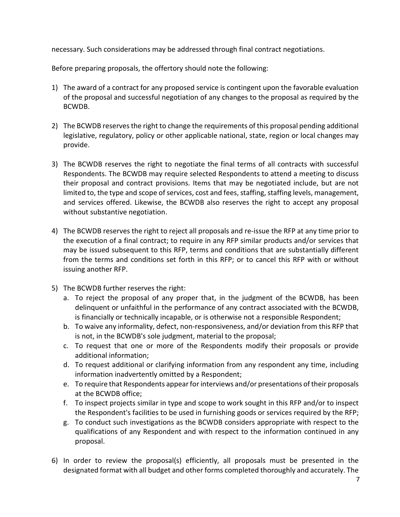necessary. Such considerations may be addressed through final contract negotiations.

Before preparing proposals, the offertory should note the following:

- 1) The award of a contract for any proposed service is contingent upon the favorable evaluation of the proposal and successful negotiation of any changes to the proposal as required by the BCWDB.
- 2) The BCWDB reserves the right to change the requirements of this proposal pending additional legislative, regulatory, policy or other applicable national, state, region or local changes may provide.
- 3) The BCWDB reserves the right to negotiate the final terms of all contracts with successful Respondents. The BCWDB may require selected Respondents to attend a meeting to discuss their proposal and contract provisions. Items that may be negotiated include, but are not limited to, the type and scope of services, cost and fees, staffing, staffing levels, management, and services offered. Likewise, the BCWDB also reserves the right to accept any proposal without substantive negotiation.
- 4) The BCWDB reserves the right to reject all proposals and re-issue the RFP at any time prior to the execution of a final contract; to require in any RFP similar products and/or services that may be issued subsequent to this RFP, terms and conditions that are substantially different from the terms and conditions set forth in this RFP; or to cancel this RFP with or without issuing another RFP.
- 5) The BCWDB further reserves the right:
	- a. To reject the proposal of any proper that, in the judgment of the BCWDB, has been delinquent or unfaithful in the performance of any contract associated with the BCWDB, is financially or technically incapable, or is otherwise not a responsible Respondent;
	- b. To waive any informality, defect, non-responsiveness, and/or deviation from this RFP that is not, in the BCWDB's sole judgment, material to the proposal;
	- c. To request that one or more of the Respondents modify their proposals or provide additional information;
	- d. To request additional or clarifying information from any respondent any time, including information inadvertently omitted by a Respondent;
	- e. To require that Respondents appear for interviews and/or presentations of their proposals at the BCWDB office;
	- f. To inspect projects similar in type and scope to work sought in this RFP and/or to inspect the Respondent's facilities to be used in furnishing goods or services required by the RFP;
	- g. To conduct such investigations as the BCWDB considers appropriate with respect to the qualifications of any Respondent and with respect to the information continued in any proposal.
- 6) In order to review the proposal(s) efficiently, all proposals must be presented in the designated format with all budget and other forms completed thoroughly and accurately. The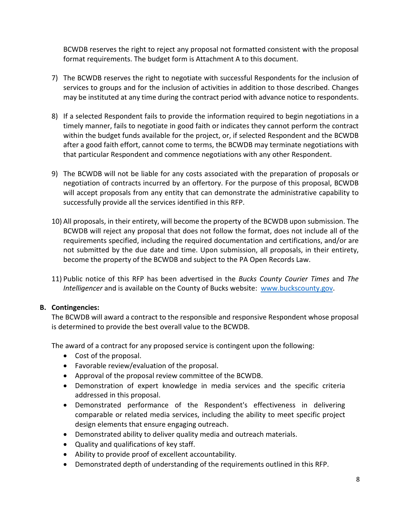BCWDB reserves the right to reject any proposal not formatted consistent with the proposal format requirements. The budget form is Attachment A to this document.

- 7) The BCWDB reserves the right to negotiate with successful Respondents for the inclusion of services to groups and for the inclusion of activities in addition to those described. Changes may be instituted at any time during the contract period with advance notice to respondents.
- 8) If a selected Respondent fails to provide the information required to begin negotiations in a timely manner, fails to negotiate in good faith or indicates they cannot perform the contract within the budget funds available for the project, or, if selected Respondent and the BCWDB after a good faith effort, cannot come to terms, the BCWDB may terminate negotiations with that particular Respondent and commence negotiations with any other Respondent.
- 9) The BCWDB will not be liable for any costs associated with the preparation of proposals or negotiation of contracts incurred by an offertory. For the purpose of this proposal, BCWDB will accept proposals from any entity that can demonstrate the administrative capability to successfully provide all the services identified in this RFP.
- 10) All proposals, in their entirety, will become the property of the BCWDB upon submission. The BCWDB will reject any proposal that does not follow the format, does not include all of the requirements specified, including the required documentation and certifications, and/or are not submitted by the due date and time. Upon submission, all proposals, in their entirety, become the property of the BCWDB and subject to the PA Open Records Law.
- 11) Public notice of this RFP has been advertised in the *Bucks County Courier Times* and *The Intelligencer* and is available on the County of Bucks website: [www.buckscounty.gov.](http://www.buckscounty.gov/)

## **B. Contingencies:**

The BCWDB will award a contract to the responsible and responsive Respondent whose proposal is determined to provide the best overall value to the BCWDB.

The award of a contract for any proposed service is contingent upon the following:

- Cost of the proposal.
- Favorable review/evaluation of the proposal.
- Approval of the proposal review committee of the BCWDB.
- Demonstration of expert knowledge in media services and the specific criteria addressed in this proposal.
- Demonstrated performance of the Respondent's effectiveness in delivering comparable or related media services, including the ability to meet specific project design elements that ensure engaging outreach.
- Demonstrated ability to deliver quality media and outreach materials.
- Quality and qualifications of key staff.
- Ability to provide proof of excellent accountability.
- Demonstrated depth of understanding of the requirements outlined in this RFP.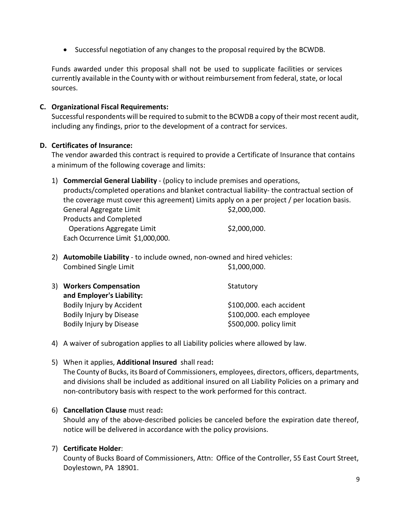• Successful negotiation of any changes to the proposal required by the BCWDB.

Funds awarded under this proposal shall not be used to supplicate facilities or services currently available in the County with or without reimbursement from federal, state, or local sources.

#### **C. Organizational Fiscal Requirements:**

Successful respondents will be required to submit to the BCWDB a copy of their most recent audit, including any findings, prior to the development of a contract for services.

#### **D. Certificates of Insurance:**

The vendor awarded this contract is required to provide a Certificate of Insurance that contains a minimum of the following coverage and limits:

- 1) **Commercial General Liability**  (policy to include premises and operations, products/completed operations and blanket contractual liability- the contractual section of the coverage must cover this agreement) Limits apply on a per project / per location basis. General Aggregate Limit \$2,000,000. Products and Completed Operations Aggregate Limit  $$2,000,000$ . Each Occurrence Limit \$1,000,000.
- 2) **Automobile Liability**  to include owned, non-owned and hired vehicles: Combined Single Limit  $$1,000,000$ .

| 3) Workers Compensation<br>and Employer's Liability: | Statutory                |
|------------------------------------------------------|--------------------------|
| Bodily Injury by Accident                            | \$100,000. each accident |
| Bodily Injury by Disease                             | \$100,000. each employee |
| Bodily Injury by Disease                             | \$500,000. policy limit  |
|                                                      |                          |

- 4) A waiver of subrogation applies to all Liability policies where allowed by law.
- 5) When it applies, **Additional Insured** shall read**:**

The County of Bucks, its Board of Commissioners, employees, directors, officers, departments, and divisions shall be included as additional insured on all Liability Policies on a primary and non-contributory basis with respect to the work performed for this contract.

#### 6) **Cancellation Clause** must read**:**

Should any of the above-described policies be canceled before the expiration date thereof, notice will be delivered in accordance with the policy provisions.

#### 7) **Certificate Holder**:

County of Bucks Board of Commissioners, Attn: Office of the Controller, 55 East Court Street, Doylestown, PA 18901.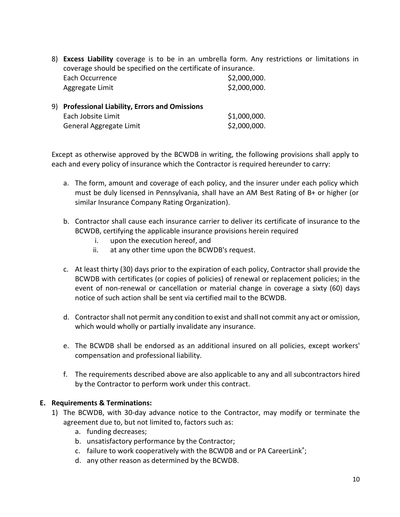8) **Excess Liability** coverage is to be in an umbrella form. Any restrictions or limitations in coverage should be specified on the certificate of insurance. Each Occurrence  $$2,000,000$ . Aggregate Limit  $\text{52,000,000}$ .

| Each Jobsite Limit | \$1,000,000.                                                               |
|--------------------|----------------------------------------------------------------------------|
|                    | \$2,000,000.                                                               |
|                    | 9) Professional Liability, Errors and Omissions<br>General Aggregate Limit |

Except as otherwise approved by the BCWDB in writing, the following provisions shall apply to each and every policy of insurance which the Contractor is required hereunder to carry:

- a. The form, amount and coverage of each policy, and the insurer under each policy which must be duly licensed in Pennsylvania, shall have an AM Best Rating of B+ or higher (or similar Insurance Company Rating Organization).
- b. Contractor shall cause each insurance carrier to deliver its certificate of insurance to the BCWDB, certifying the applicable insurance provisions herein required
	- i. upon the execution hereof, and
	- ii. at any other time upon the BCWDB's request.
- c. At least thirty (30) days prior to the expiration of each policy, Contractor shall provide the BCWDB with certificates (or copies of policies) of renewal or replacement policies; in the event of non-renewal or cancellation or material change in coverage a sixty (60) days notice of such action shall be sent via certified mail to the BCWDB.
- d. Contractor shall not permit any condition to exist and shall not commit any act or omission, which would wholly or partially invalidate any insurance.
- e. The BCWDB shall be endorsed as an additional insured on all policies, except workers' compensation and professional liability.
- f. The requirements described above are also applicable to any and all subcontractors hired by the Contractor to perform work under this contract.

## **E. Requirements & Terminations:**

- 1) The BCWDB, with 30-day advance notice to the Contractor, may modify or terminate the agreement due to, but not limited to, factors such as:
	- a. funding decreases;
	- b. unsatisfactory performance by the Contractor;
	- c. failure to work cooperatively with the BCWDB and or PA CareerLink®;
	- d. any other reason as determined by the BCWDB.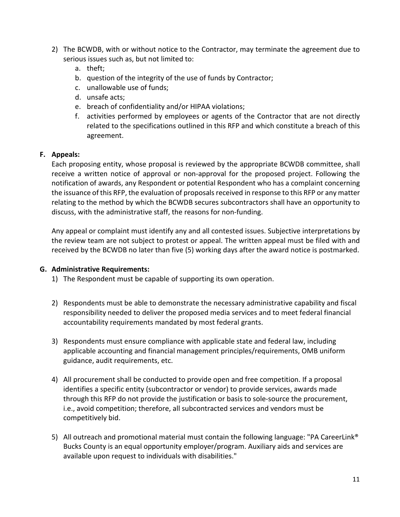- 2) The BCWDB, with or without notice to the Contractor, may terminate the agreement due to serious issues such as, but not limited to:
	- a. theft;
	- b. question of the integrity of the use of funds by Contractor;
	- c. unallowable use of funds;
	- d. unsafe acts;
	- e. breach of confidentiality and/or HIPAA violations;
	- f. activities performed by employees or agents of the Contractor that are not directly related to the specifications outlined in this RFP and which constitute a breach of this agreement.

#### **F. Appeals:**

Each proposing entity, whose proposal is reviewed by the appropriate BCWDB committee, shall receive a written notice of approval or non-approval for the proposed project. Following the notification of awards, any Respondent or potential Respondent who has a complaint concerning the issuance of this RFP, the evaluation of proposals received in response to this RFP or any matter relating to the method by which the BCWDB secures subcontractors shall have an opportunity to discuss, with the administrative staff, the reasons for non-funding.

Any appeal or complaint must identify any and all contested issues. Subjective interpretations by the review team are not subject to protest or appeal. The written appeal must be filed with and received by the BCWDB no later than five (5) working days after the award notice is postmarked.

#### **G. Administrative Requirements:**

- 1) The Respondent must be capable of supporting its own operation.
- 2) Respondents must be able to demonstrate the necessary administrative capability and fiscal responsibility needed to deliver the proposed media services and to meet federal financial accountability requirements mandated by most federal grants.
- 3) Respondents must ensure compliance with applicable state and federal law, including applicable accounting and financial management principles/requirements, OMB uniform guidance, audit requirements, etc.
- 4) All procurement shall be conducted to provide open and free competition. If a proposal identifies a specific entity (subcontractor or vendor) to provide services, awards made through this RFP do not provide the justification or basis to sole-source the procurement, i.e., avoid competition; therefore, all subcontracted services and vendors must be competitively bid.
- 5) All outreach and promotional material must contain the following language: "PA CareerLink® Bucks County is an equal opportunity employer/program. Auxiliary aids and services are available upon request to individuals with disabilities."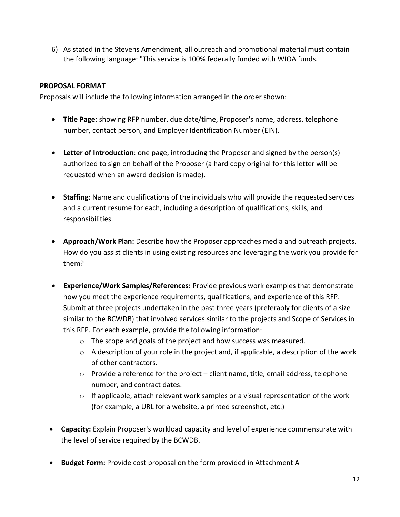6) As stated in the Stevens Amendment, all outreach and promotional material must contain the following language: "This service is 100% federally funded with WIOA funds.

## **PROPOSAL FORMAT**

Proposals will include the following information arranged in the order shown:

- **Title Page**: showing RFP number, due date/time, Proposer's name, address, telephone number, contact person, and Employer Identification Number (EIN).
- **Letter of Introduction**: one page, introducing the Proposer and signed by the person(s) authorized to sign on behalf of the Proposer (a hard copy original for this letter will be requested when an award decision is made).
- **Staffing:** Name and qualifications of the individuals who will provide the requested services and a current resume for each, including a description of qualifications, skills, and responsibilities.
- **Approach/Work Plan:** Describe how the Proposer approaches media and outreach projects. How do you assist clients in using existing resources and leveraging the work you provide for them?
- **Experience/Work Samples/References:** Provide previous work examples that demonstrate how you meet the experience requirements, qualifications, and experience of this RFP. Submit at three projects undertaken in the past three years (preferably for clients of a size similar to the BCWDB) that involved services similar to the projects and Scope of Services in this RFP. For each example, provide the following information:
	- o The scope and goals of the project and how success was measured.
	- o A description of your role in the project and, if applicable, a description of the work of other contractors.
	- $\circ$  Provide a reference for the project client name, title, email address, telephone number, and contract dates.
	- $\circ$  If applicable, attach relevant work samples or a visual representation of the work (for example, a URL for a website, a printed screenshot, etc.)
- **Capacity:** Explain Proposer's workload capacity and level of experience commensurate with the level of service required by the BCWDB.
- **Budget Form:** Provide cost proposal on the form provided in Attachment A